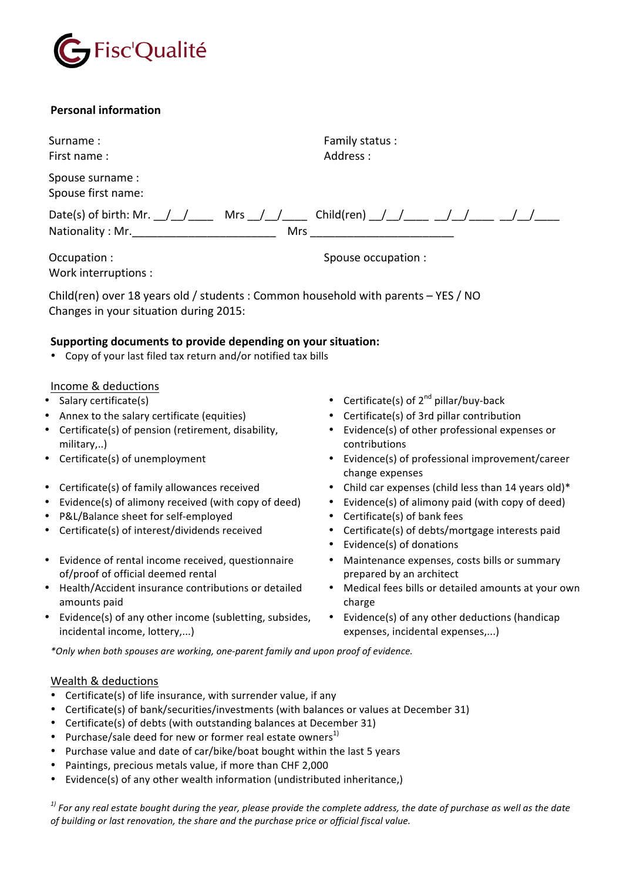

# **Personal information**

Surname : The Surname : The Surname : The Surname is the Surname is the Surname is the Family status : First name:

Spouse surname : Spouse first name:

Date(s) of birth: Mr. \_\_/\_\_/\_\_\_\_\_\_ Mrs \_\_/\_\_/\_\_\_\_\_\_\_ Child(ren) \_\_/\_\_/\_\_\_\_\_ \_\_/\_\_/\_\_\_\_\_ \_\_/\_\_/\_\_\_\_\_ Nationality : Mr.\_\_\_\_\_\_\_\_\_\_\_\_\_\_\_\_\_\_\_\_\_\_\_ Mrs \_\_\_\_\_\_\_\_\_\_\_\_\_\_\_\_\_\_\_\_\_\_\_

Occupation : Spouse occupation : Spouse occupation : Spouse occupation : Work interruptions :

Address :

Child(ren) over 18 years old / students : Common household with parents  $-$  YES / NO Changes in your situation during 2015:

# Supporting documents to provide depending on your situation:

• Copy of your last filed tax return and/or notified tax bills

# Income & deductions

- 
- Annex to the salary certificate (equities) Certificate(s) of 3rd pillar contribution
- Certificate(s) of pension (retirement, disability, military,..)
- 
- 
- Evidence(s) of alimony received (with copy of deed) Evidence(s) of alimony paid (with copy of deed)
- P&L/Balance sheet for self-employed Certificate(s) of bank fees
- 
- Evidence of rental income received, questionnaire of/proof of official deemed rental
- Health/Accident insurance contributions or detailed amounts paid
- Evidence(s) of any other income (subletting, subsides, incidental income, lottery,...)
- Salary certificate(s)  $\bullet$  Certificate(s) of  $2^{nd}$  pillar/buy-back
	-
	- Evidence(s) of other professional expenses or contributions
- Certificate(s) of unemployment Certificate(s) of unemployment / Career change expenses
- Certificate(s) of family allowances received Child car expenses (child less than 14 years old)\*
	-
	-
- Certificate(s) of interest/dividends received Certificate(s) of debts/mortgage interests paid
	- Evidence(s) of donations
	- Maintenance expenses, costs bills or summary prepared by an architect
	- Medical fees bills or detailed amounts at your own charge
	- Evidence(s) of any other deductions (handicap expenses, incidental expenses,...)

*\*Only when both spouses are working, one-parent family and upon proof of evidence.*

### Wealth & deductions

- Certificate(s) of life insurance, with surrender value, if any
- Certificate(s) of bank/securities/investments (with balances or values at December 31)
- Certificate(s) of debts (with outstanding balances at December 31)
- Purchase/sale deed for new or former real estate owners<sup>1)</sup>
- Purchase value and date of car/bike/boat bought within the last 5 years
- Paintings, precious metals value, if more than CHF 2,000
- Evidence(s) of any other wealth information (undistributed inheritance,)

 $^{\, 1)}$  For any real estate bought during the year, please provide the complete address, the date of purchase as well as the date of building or last renovation, the share and the purchase price or official fiscal value.